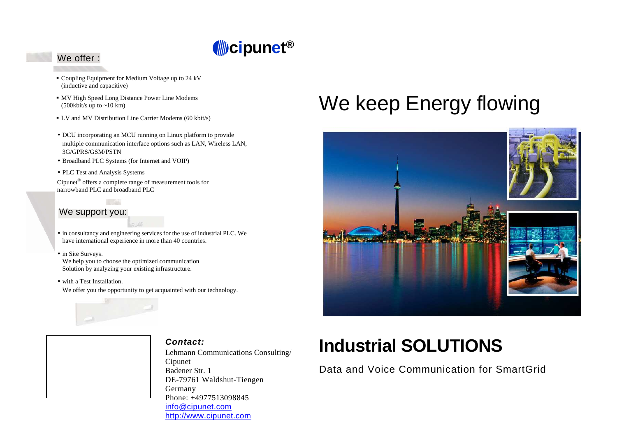

## We offer :

- Coupling Equipment for Medium Voltage up to 24 kV (inductive and capacitive)
- MV High Speed Long Distance Power Line Modems  $(500kbit/s$  up to  $\sim 10$  km)
- LV and MV Distribution Line Carrier Modems (60 kbit/s)
- DCU incorporating an MCU running on Linux platform to provide multiple communication interface options such as LAN, Wireless LAN, 3G/GPRS/GSM/PSTN
- Broadband PLC Systems (for Internet and VOIP)
- PLC Test and Analysis Systems

Cipunet® offers a complete range of measurement tools for narrowband PLC and broadband PLC

### We support you:

- in consultancy and engineering services for the use of industrial PLC. We have international experience in more than 40 countries.
- in Site Surveys. We help you to choose the optimized communication Solution by analyzing your existing infrastructure.
- with a Test Installation. We offer you the opportunity to get acquainted with our technology.



### **Contact:**

Lehmann Communications Consulting/ Cipunet Badener Str. 1 DE-79761 Waldshut-Tiengen Germany Phone: +4977513098845 info@cipunet.comhttp://www.cipunet.com

# We keep Energy flowing



## **Industrial SOLUTIONS**

## Data and Voice Communication for SmartGrid